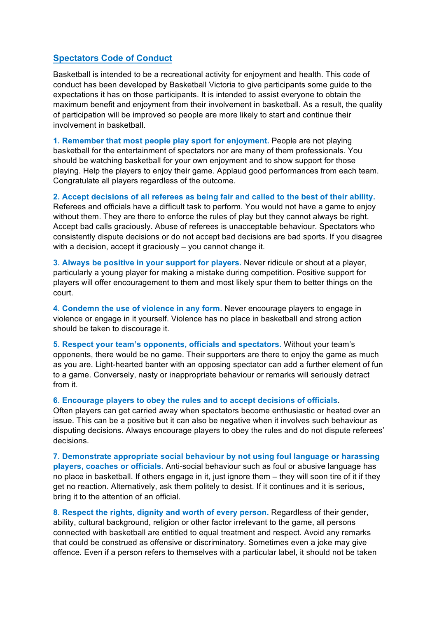## **Spectators Code of Conduct**

Basketball is intended to be a recreational activity for enjoyment and health. This code of conduct has been developed by Basketball Victoria to give participants some guide to the expectations it has on those participants. It is intended to assist everyone to obtain the maximum benefit and enjoyment from their involvement in basketball. As a result, the quality of participation will be improved so people are more likely to start and continue their involvement in basketball.

**1. Remember that most people play sport for enjoyment.** People are not playing basketball for the entertainment of spectators nor are many of them professionals. You should be watching basketball for your own enjoyment and to show support for those playing. Help the players to enjoy their game. Applaud good performances from each team. Congratulate all players regardless of the outcome.

**2. Accept decisions of all referees as being fair and called to the best of their ability.** Referees and officials have a difficult task to perform. You would not have a game to enjoy without them. They are there to enforce the rules of play but they cannot always be right. Accept bad calls graciously. Abuse of referees is unacceptable behaviour. Spectators who consistently dispute decisions or do not accept bad decisions are bad sports. If you disagree with a decision, accept it graciously – you cannot change it.

**3. Always be positive in your support for players.** Never ridicule or shout at a player, particularly a young player for making a mistake during competition. Positive support for players will offer encouragement to them and most likely spur them to better things on the court.

**4. Condemn the use of violence in any form.** Never encourage players to engage in violence or engage in it yourself. Violence has no place in basketball and strong action should be taken to discourage it.

**5. Respect your team's opponents, officials and spectators.** Without your team's opponents, there would be no game. Their supporters are there to enjoy the game as much as you are. Light-hearted banter with an opposing spectator can add a further element of fun to a game. Conversely, nasty or inappropriate behaviour or remarks will seriously detract from it.

## **6. Encourage players to obey the rules and to accept decisions of officials**.

Often players can get carried away when spectators become enthusiastic or heated over an issue. This can be a positive but it can also be negative when it involves such behaviour as disputing decisions. Always encourage players to obey the rules and do not dispute referees' decisions.

**7. Demonstrate appropriate social behaviour by not using foul language or harassing players, coaches or officials.** Anti-social behaviour such as foul or abusive language has no place in basketball. If others engage in it, just ignore them – they will soon tire of it if they get no reaction. Alternatively, ask them politely to desist. If it continues and it is serious, bring it to the attention of an official.

**8. Respect the rights, dignity and worth of every person.** Regardless of their gender, ability, cultural background, religion or other factor irrelevant to the game, all persons connected with basketball are entitled to equal treatment and respect. Avoid any remarks that could be construed as offensive or discriminatory. Sometimes even a joke may give offence. Even if a person refers to themselves with a particular label, it should not be taken